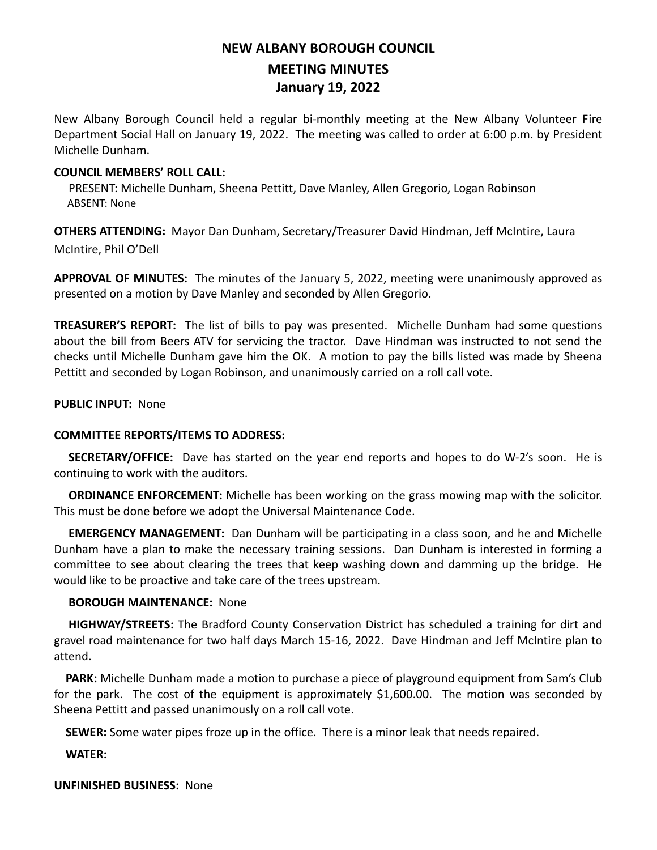# **NEW ALBANY BOROUGH COUNCIL MEETING MINUTES January 19, 2022**

New Albany Borough Council held a regular bi-monthly meeting at the New Albany Volunteer Fire Department Social Hall on January 19, 2022. The meeting was called to order at 6:00 p.m. by President Michelle Dunham.

## **COUNCIL MEMBERS' ROLL CALL:**

PRESENT: Michelle Dunham, Sheena Pettitt, Dave Manley, Allen Gregorio, Logan Robinson ABSENT: None

**OTHERS ATTENDING:** Mayor Dan Dunham, Secretary/Treasurer David Hindman, Jeff McIntire, Laura McIntire, Phil O'Dell

**APPROVAL OF MINUTES:** The minutes of the January 5, 2022, meeting were unanimously approved as presented on a motion by Dave Manley and seconded by Allen Gregorio.

**TREASURER'S REPORT:** The list of bills to pay was presented. Michelle Dunham had some questions about the bill from Beers ATV for servicing the tractor. Dave Hindman was instructed to not send the checks until Michelle Dunham gave him the OK. A motion to pay the bills listed was made by Sheena Pettitt and seconded by Logan Robinson, and unanimously carried on a roll call vote.

#### **PUBLIC INPUT:** None

## **COMMITTEE REPORTS/ITEMS TO ADDRESS:**

 **SECRETARY/OFFICE:** Dave has started on the year end reports and hopes to do W-2's soon. He is continuing to work with the auditors.

 **ORDINANCE ENFORCEMENT:** Michelle has been working on the grass mowing map with the solicitor. This must be done before we adopt the Universal Maintenance Code.

 **EMERGENCY MANAGEMENT:** Dan Dunham will be participating in a class soon, and he and Michelle Dunham have a plan to make the necessary training sessions. Dan Dunham is interested in forming a committee to see about clearing the trees that keep washing down and damming up the bridge. He would like to be proactive and take care of the trees upstream.

## **BOROUGH MAINTENANCE:** None

 **HIGHWAY/STREETS:** The Bradford County Conservation District has scheduled a training for dirt and gravel road maintenance for two half days March 15-16, 2022. Dave Hindman and Jeff McIntire plan to attend.

 **PARK:** Michelle Dunham made a motion to purchase a piece of playground equipment from Sam's Club for the park. The cost of the equipment is approximately \$1,600.00. The motion was seconded by Sheena Pettitt and passed unanimously on a roll call vote.

 **SEWER:** Some water pipes froze up in the office. There is a minor leak that needs repaired.

 **WATER:** 

**UNFINISHED BUSINESS:** None